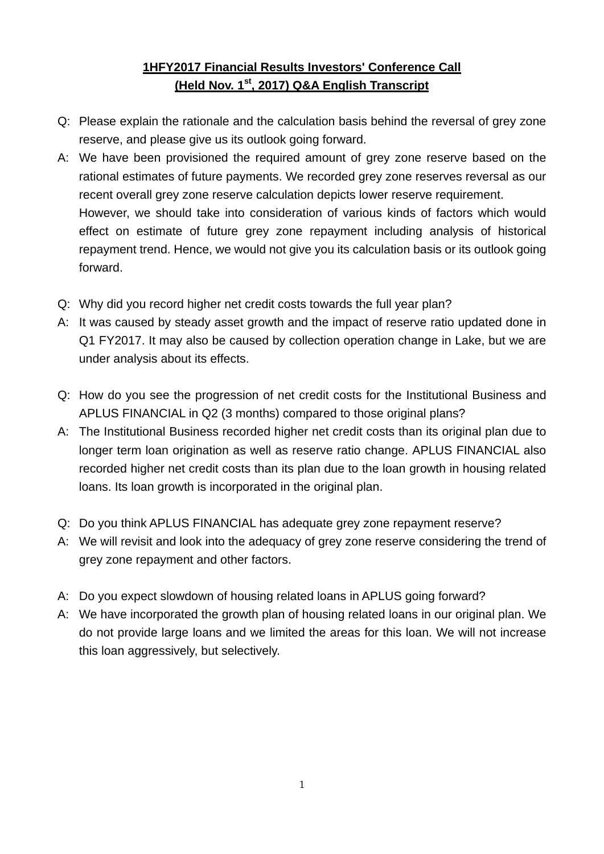## **1HFY2017 Financial Results Investors' Conference Call (Held Nov. 1st, 2017) Q&A English Transcript**

- Q: Please explain the rationale and the calculation basis behind the reversal of grey zone reserve, and please give us its outlook going forward.
- A: We have been provisioned the required amount of grey zone reserve based on the rational estimates of future payments. We recorded grey zone reserves reversal as our recent overall grey zone reserve calculation depicts lower reserve requirement. However, we should take into consideration of various kinds of factors which would effect on estimate of future grey zone repayment including analysis of historical repayment trend. Hence, we would not give you its calculation basis or its outlook going forward.
- Q: Why did you record higher net credit costs towards the full year plan?
- A: It was caused by steady asset growth and the impact of reserve ratio updated done in Q1 FY2017. It may also be caused by collection operation change in Lake, but we are under analysis about its effects.
- Q: How do you see the progression of net credit costs for the Institutional Business and APLUS FINANCIAL in Q2 (3 months) compared to those original plans?
- A: The Institutional Business recorded higher net credit costs than its original plan due to longer term loan origination as well as reserve ratio change. APLUS FINANCIAL also recorded higher net credit costs than its plan due to the loan growth in housing related loans. Its loan growth is incorporated in the original plan.
- Q: Do you think APLUS FINANCIAL has adequate grey zone repayment reserve?
- A: We will revisit and look into the adequacy of grey zone reserve considering the trend of grey zone repayment and other factors.
- A: Do you expect slowdown of housing related loans in APLUS going forward?
- A: We have incorporated the growth plan of housing related loans in our original plan. We do not provide large loans and we limited the areas for this loan. We will not increase this loan aggressively, but selectively.